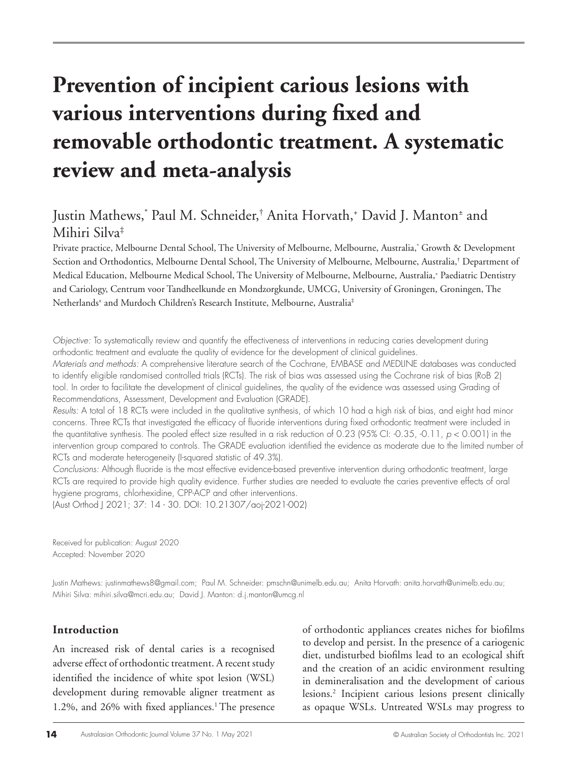# **Prevention of incipient carious lesions with various interventions during fixed and removable orthodontic treatment. A systematic review and meta-analysis**

# Justin Mathews,\* Paul M. Schneider,† Anita Horvath,+ David J. Manton± and Mihiri Silva‡

Private practice, Melbourne Dental School, The University of Melbourne, Melbourne, Australia,\* Growth & Development Section and Orthodontics, Melbourne Dental School, The University of Melbourne, Melbourne, Australia,† Department of Medical Education, Melbourne Medical School, The University of Melbourne, Melbourne, Australia,+ Paediatric Dentistry and Cariology, Centrum voor Tandheelkunde en Mondzorgkunde, UMCG, University of Groningen, Groningen, The Netherlands± and Murdoch Children's Research Institute, Melbourne, Australia‡

*Objective:* To systematically review and quantify the effectiveness of interventions in reducing caries development during orthodontic treatment and evaluate the quality of evidence for the development of clinical guidelines.

*Materials and methods:* A comprehensive literature search of the Cochrane, EMBASE and MEDLINE databases was conducted to identify eligible randomised controlled trials (RCTs). The risk of bias was assessed using the Cochrane risk of bias (RoB 2) tool. In order to facilitate the development of clinical guidelines, the quality of the evidence was assessed using Grading of Recommendations, Assessment, Development and Evaluation (GRADE).

*Results:* A total of 18 RCTs were included in the qualitative synthesis, of which 10 had a high risk of bias, and eight had minor concerns. Three RCTs that investigated the efficacy of fluoride interventions during fixed orthodontic treatment were included in the quantitative synthesis. The pooled effect size resulted in a risk reduction of 0.23 (95% CI: -0.35, -0.11, *p* < 0.001) in the intervention group compared to controls. The GRADE evaluation identified the evidence as moderate due to the limited number of RCTs and moderate heterogeneity (I-squared statistic of 49.3%).

*Conclusions:* Although fluoride is the most effective evidence-based preventive intervention during orthodontic treatment, large RCTs are required to provide high quality evidence. Further studies are needed to evaluate the caries preventive effects of oral hygiene programs, chlorhexidine, CPP-ACP and other interventions.

(Aust Orthod J 2021; 37: 14 - 30. DOI: 10.21307/aoj-2021-002)

Received for publication: August 2020 Accepted: November 2020

Justin Mathews: justinmathews8@gmail.com; Paul M. Schneider: pmschn@unimelb.edu.au; Anita Horvath: anita.horvath@unimelb.edu.au; Mihiri Silva: mihiri.silva@mcri.edu.au; David J. Manton: d.j.manton@umcg.nl

## **Introduction**

An increased risk of dental caries is a recognised adverse effect of orthodontic treatment. A recent study identified the incidence of white spot lesion (WSL) development during removable aligner treatment as 1.2%, and 26% with fixed appliances.<sup>1</sup> The presence of orthodontic appliances creates niches for biofilms to develop and persist. In the presence of a cariogenic diet, undisturbed biofilms lead to an ecological shift and the creation of an acidic environment resulting in demineralisation and the development of carious lesions.2 Incipient carious lesions present clinically as opaque WSLs. Untreated WSLs may progress to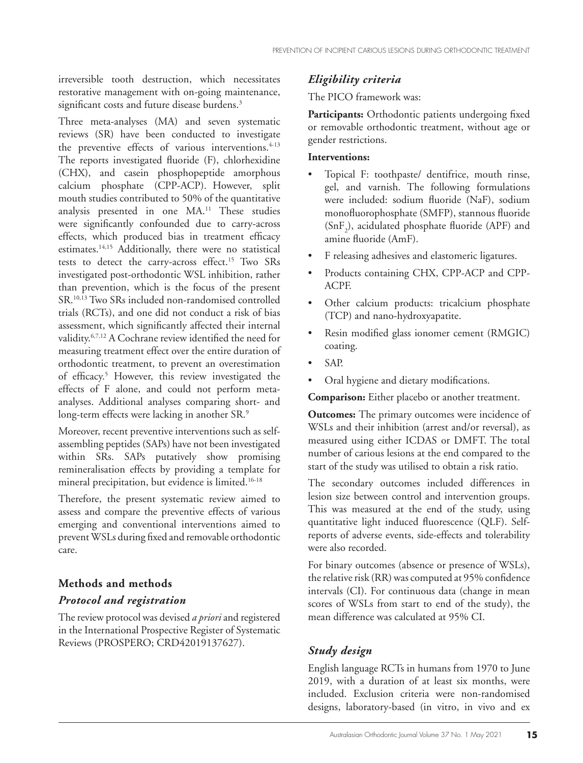irreversible tooth destruction, which necessitates restorative management with on-going maintenance, significant costs and future disease burdens.<sup>3</sup>

Three meta-analyses (MA) and seven systematic reviews (SR) have been conducted to investigate the preventive effects of various interventions.<sup>4-13</sup> The reports investigated fluoride (F), chlorhexidine (CHX), and casein phosphopeptide amorphous calcium phosphate (CPP-ACP). However, split mouth studies contributed to 50% of the quantitative analysis presented in one MA.<sup>11</sup> These studies were significantly confounded due to carry-across effects, which produced bias in treatment efficacy estimates.14,15 Additionally, there were no statistical tests to detect the carry-across effect.15 Two SRs investigated post-orthodontic WSL inhibition, rather than prevention, which is the focus of the present SR.10,13 Two SRs included non-randomised controlled trials (RCTs), and one did not conduct a risk of bias assessment, which significantly affected their internal validity.6,7,12 A Cochrane review identified the need for measuring treatment effect over the entire duration of orthodontic treatment, to prevent an overestimation of efficacy.5 However, this review investigated the effects of F alone, and could not perform metaanalyses. Additional analyses comparing short- and long-term effects were lacking in another SR.<sup>9</sup>

Moreover, recent preventive interventions such as selfassembling peptides (SAPs) have not been investigated within SRs. SAPs putatively show promising remineralisation effects by providing a template for mineral precipitation, but evidence is limited.16-18

Therefore, the present systematic review aimed to assess and compare the preventive effects of various emerging and conventional interventions aimed to prevent WSLs during fixed and removable orthodontic care.

# **Methods and methods** *Protocol and registration*

The review protocol was devised *a priori* and registered in the International Prospective Register of Systematic Reviews (PROSPERO; CRD42019137627).

## *Eligibility criteria*

The PICO framework was:

Participants: Orthodontic patients undergoing fixed or removable orthodontic treatment, without age or gender restrictions.

#### **Interventions:**

- Topical F: toothpaste/ dentifrice, mouth rinse, gel, and varnish. The following formulations were included: sodium fluoride (NaF), sodium monofluorophosphate (SMFP), stannous fluoride  $(SnF<sub>2</sub>)$ , acidulated phosphate fluoride (APF) and amine fluoride (AmF).
- F releasing adhesives and elastomeric ligatures.
- Products containing CHX, CPP-ACP and CPP-ACPF.
- Other calcium products: tricalcium phosphate (TCP) and nano-hydroxyapatite.
- Resin modified glass ionomer cement (RMGIC) coating.
- SAP.
- Oral hygiene and dietary modifications.

**Comparison:** Either placebo or another treatment.

**Outcomes:** The primary outcomes were incidence of WSLs and their inhibition (arrest and/or reversal), as measured using either ICDAS or DMFT. The total number of carious lesions at the end compared to the start of the study was utilised to obtain a risk ratio.

The secondary outcomes included differences in lesion size between control and intervention groups. This was measured at the end of the study, using quantitative light induced fluorescence (QLF). Selfreports of adverse events, side-effects and tolerability were also recorded.

For binary outcomes (absence or presence of WSLs), the relative risk (RR) was computed at 95% confidence intervals (CI). For continuous data (change in mean scores of WSLs from start to end of the study), the mean difference was calculated at 95% CI.

# *Study design*

English language RCTs in humans from 1970 to June 2019, with a duration of at least six months, were included. Exclusion criteria were non-randomised designs, laboratory-based (in vitro, in vivo and ex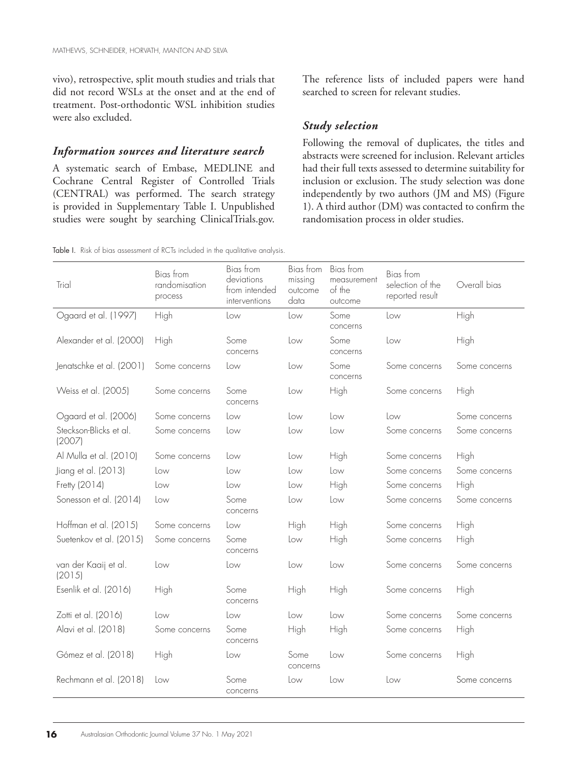vivo), retrospective, split mouth studies and trials that did not record WSLs at the onset and at the end of treatment. Post-orthodontic WSL inhibition studies were also excluded.

#### *Information sources and literature search*

A systematic search of Embase, MEDLINE and Cochrane Central Register of Controlled Trials (CENTRAL) was performed. The search strategy is provided in Supplementary Table I. Unpublished studies were sought by searching ClinicalTrials.gov. The reference lists of included papers were hand searched to screen for relevant studies.

#### *Study selection*

Following the removal of duplicates, the titles and abstracts were screened for inclusion. Relevant articles had their full texts assessed to determine suitability for inclusion or exclusion. The study selection was done independently by two authors (JM and MS) (Figure 1). A third author (DM) was contacted to confirm the randomisation process in older studies.

Table I. Risk of bias assessment of RCTs included in the qualitative analysis.

| Trial                            | Bias from<br>randomisation<br>process | Bias from<br>deviations<br>from intended<br>interventions | Bias from<br>missing<br>outcome<br>data | Bias from<br>measurement<br>of the<br>outcome | Bias from<br>selection of the<br>reported result | Overall bias  |
|----------------------------------|---------------------------------------|-----------------------------------------------------------|-----------------------------------------|-----------------------------------------------|--------------------------------------------------|---------------|
| Ogaard et al. (1997)             | High                                  | Low                                                       | Low                                     | Some<br>concerns                              | Low                                              | High          |
| Alexander et al. (2000)          | High                                  | Some<br>concerns                                          | Low                                     | Some<br>concerns                              | Low                                              | High          |
| Jenatschke et al. (2001)         | Some concerns                         | Low                                                       | Low                                     | Some<br>concerns                              | Some concerns                                    | Some concerns |
| Weiss et al. (2005)              | Some concerns                         | Some<br>concerns                                          | Low                                     | High                                          | Some concerns                                    | High          |
| Ogaard et al. (2006)             | Some concerns                         | Low                                                       | Low                                     | Low                                           | Low                                              | Some concerns |
| Steckson-Blicks et al.<br>(2007) | Some concerns                         | Low                                                       | Low                                     | Low                                           | Some concerns                                    | Some concerns |
| Al Mulla et al. (2010)           | Some concerns                         | Low                                                       | Low                                     | High                                          | Some concerns                                    | High          |
| Jiang et al. (2013)              | Low                                   | Low                                                       | Low                                     | Low                                           | Some concerns                                    | Some concerns |
| Fretty (2014)                    | Low                                   | Low                                                       | Low                                     | High                                          | Some concerns                                    | High          |
| Sonesson et al. (2014)           | Low                                   | Some<br>concerns                                          | Low                                     | Low                                           | Some concerns                                    | Some concerns |
| Hoffman et al. (2015)            | Some concerns                         | Low                                                       | High                                    | High                                          | Some concerns                                    | High          |
| Suetenkov et al. (2015)          | Some concerns                         | Some<br>concerns                                          | Low                                     | High                                          | Some concerns                                    | High          |
| van der Kaaij et al.<br>(2015)   | Low                                   | Low                                                       | Low                                     | Low                                           | Some concerns                                    | Some concerns |
| Esenlik et al. (2016)            | High                                  | Some<br>concerns                                          | High                                    | High                                          | Some concerns                                    | High          |
| Zotti et al. (2016)              | Low                                   | Low                                                       | Low                                     | Low                                           | Some concerns                                    | Some concerns |
| Alavi et al. (2018)              | Some concerns                         | Some<br>concerns                                          | High                                    | High                                          | Some concerns                                    | High          |
| Gómez et al. (2018)              | High                                  | Low                                                       | Some<br>concerns                        | Low                                           | Some concerns                                    | High          |
| Rechmann et al. (2018)           | Low                                   | Some<br>concerns                                          | Low                                     | Low                                           | Low                                              | Some concerns |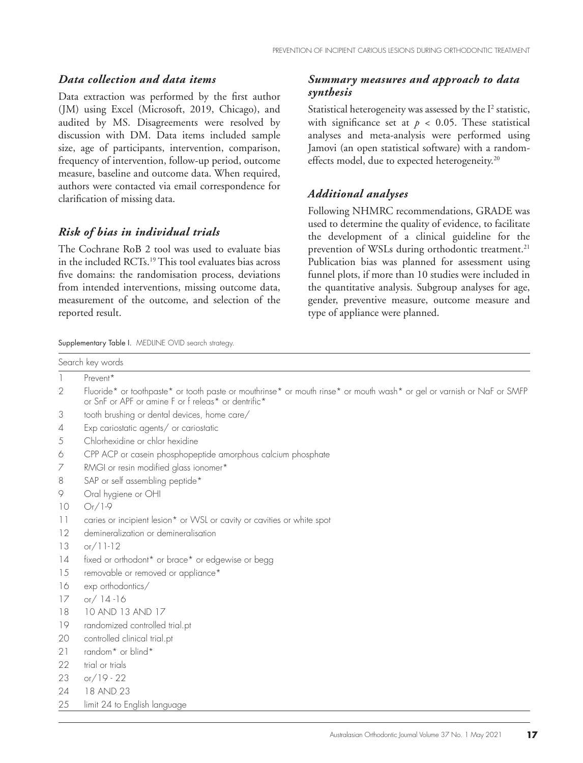#### *Data collection and data items*

Data extraction was performed by the first author (JM) using Excel (Microsoft, 2019, Chicago), and audited by MS. Disagreements were resolved by discussion with DM. Data items included sample size, age of participants, intervention, comparison, frequency of intervention, follow-up period, outcome measure, baseline and outcome data. When required, authors were contacted via email correspondence for clarification of missing data.

## *Risk of bias in individual trials*

The Cochrane RoB 2 tool was used to evaluate bias in the included RCTs.19 This tool evaluates bias across five domains: the randomisation process, deviations from intended interventions, missing outcome data, measurement of the outcome, and selection of the reported result.

#### Supplementary Table I. MEDLINE OVID search strategy

#### *Summary measures and approach to data synthesis*

Statistical heterogeneity was assessed by the  $I<sup>2</sup>$  statistic, with significance set at  $p < 0.05$ . These statistical analyses and meta-analysis were performed using Jamovi (an open statistical software) with a randomeffects model, due to expected heterogeneity.20

#### *Additional analyses*

Following NHMRC recommendations, GRADE was used to determine the quality of evidence, to facilitate the development of a clinical guideline for the prevention of WSLs during orthodontic treatment.<sup>21</sup> Publication bias was planned for assessment using funnel plots, if more than 10 studies were included in the quantitative analysis. Subgroup analyses for age, gender, preventive measure, outcome measure and type of appliance were planned.

|                          | Search key words                                                                                                                                                              |
|--------------------------|-------------------------------------------------------------------------------------------------------------------------------------------------------------------------------|
|                          | Prevent*                                                                                                                                                                      |
| 2                        | Fluoride* or toothpaste* or tooth paste or mouthrinse* or mouth rinse* or mouth wash* or gel or varnish or NaF or SMFP<br>or SnF or APF or amine F or f releas* or dentrific* |
| 3                        | tooth brushing or dental devices, home care/                                                                                                                                  |
| $\overline{4}$           | Exp cariostatic agents/ or cariostatic                                                                                                                                        |
| 5                        | Chlorhexidine or chlor hexidine                                                                                                                                               |
| 6                        | CPP ACP or casein phosphopeptide amorphous calcium phosphate                                                                                                                  |
| 7                        | RMGI or resin modified glass ionomer*                                                                                                                                         |
| 8                        | SAP or self assembling peptide*                                                                                                                                               |
| 9                        | Oral hygiene or OHI                                                                                                                                                           |
| 10                       | $Or/1-9$                                                                                                                                                                      |
| $\overline{\phantom{0}}$ | caries or incipient lesion* or WSL or cavity or cavities or white spot                                                                                                        |
| 12                       | demineralization or demineralisation                                                                                                                                          |
| 13                       | $or/11-12$                                                                                                                                                                    |
| 14                       | fixed or orthodont* or brace* or edgewise or begg                                                                                                                             |
| 15                       | removable or removed or appliance*                                                                                                                                            |
| 16                       | exp orthodontics/                                                                                                                                                             |
| 17                       | or $/14 - 16$                                                                                                                                                                 |
| 18                       | 10 AND 13 AND 17                                                                                                                                                              |
| 19                       | randomized controlled trial.pt                                                                                                                                                |
| 20                       | controlled clinical trial.pt                                                                                                                                                  |
| 21                       | random <sup>*</sup> or blind <sup>*</sup>                                                                                                                                     |
| 22                       | trial or trials                                                                                                                                                               |
| 23                       | or $/19 - 22$                                                                                                                                                                 |
| 24                       | 18 AND 23                                                                                                                                                                     |
| 25                       | limit 24 to English language                                                                                                                                                  |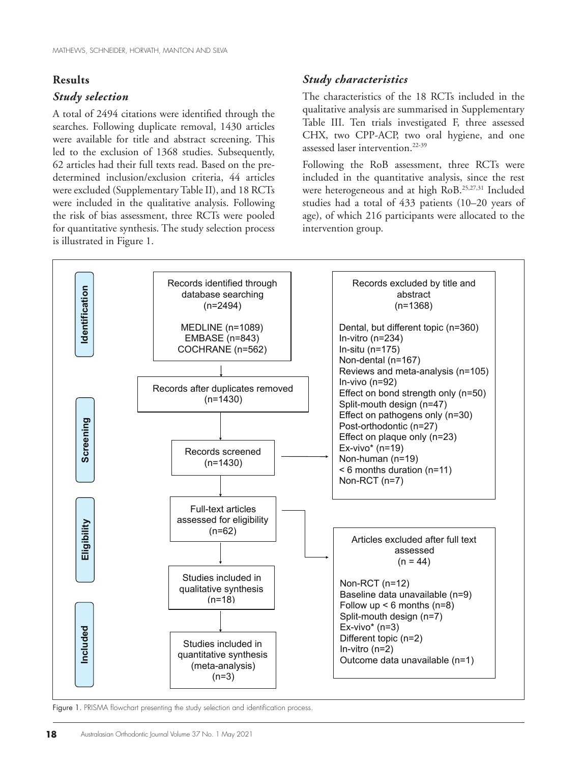#### **Results**

### *Study selection*

A total of 2494 citations were identified through the searches. Following duplicate removal, 1430 articles were available for title and abstract screening. This led to the exclusion of 1368 studies. Subsequently, 62 articles had their full texts read. Based on the predetermined inclusion/exclusion criteria, 44 articles were excluded (Supplementary Table II), and 18 RCTs were included in the qualitative analysis. Following the risk of bias assessment, three RCTs were pooled for quantitative synthesis. The study selection process is illustrated in Figure 1.

## *Study characteristics*

The characteristics of the 18 RCTs included in the qualitative analysis are summarised in Supplementary Table III. Ten trials investigated F, three assessed CHX, two CPP-ACP, two oral hygiene, and one assessed laser intervention.22-39

Following the RoB assessment, three RCTs were included in the quantitative analysis, since the rest were heterogeneous and at high RoB.<sup>25,27,31</sup> Included studies had a total of 433 patients (10–20 years of age), of which 216 participants were allocated to the intervention group.



Figure 1. PRISMA flowchart presenting the study selection and identification process.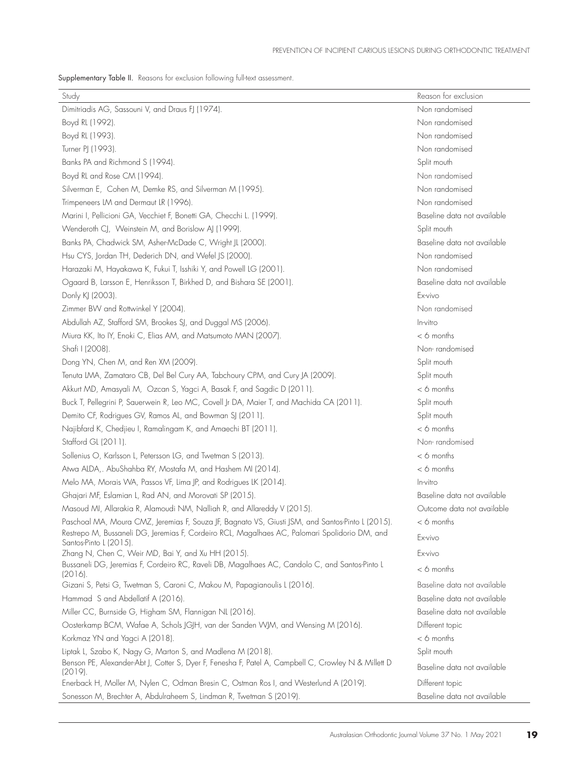Supplementary Table II. Reasons for exclusion following full-text assessment.

| Study                                                                                                                   | Reason for exclusion        |
|-------------------------------------------------------------------------------------------------------------------------|-----------------------------|
| Dimitriadis AG, Sassouni V, and Draus FJ (1974).                                                                        | Non randomised              |
| Boyd RL (1992).                                                                                                         | Non randomised              |
| Boyd RL (1993).                                                                                                         | Non randomised              |
| Turner PJ (1993).                                                                                                       | Non randomised              |
| Banks PA and Richmond S (1994).                                                                                         | Split mouth                 |
| Boyd RL and Rose CM (1994).                                                                                             | Non randomised              |
| Silverman E, Cohen M, Demke RS, and Silverman M (1995).                                                                 | Non randomised              |
| Trimpeneers LM and Dermaut LR (1996).                                                                                   | Non randomised              |
| Marini I, Pellicioni GA, Vecchiet F, Bonetti GA, Checchi L. (1999).                                                     | Baseline data not available |
| Wenderoth CJ, Weinstein M, and Borislow AJ (1999).                                                                      | Split mouth                 |
| Banks PA, Chadwick SM, Asher-McDade C, Wright JL (2000).                                                                | Baseline data not available |
| Hsu CYS, Jordan TH, Dederich DN, and Wefel JS (2000).                                                                   | Non randomised              |
| Harazaki M, Hayakawa K, Fukui T, Isshiki Y, and Powell LG (2001).                                                       | Non randomised              |
| Ogaard B, Larsson E, Henriksson T, Birkhed D, and Bishara SE (2001).                                                    | Baseline data not available |
| Donly KJ (2003).                                                                                                        | Fx-vivo                     |
| Zimmer BVV and Rottwinkel Y (2004).                                                                                     | Non randomised              |
| Abdullah AZ, Stafford SM, Brookes SJ, and Duggal MS (2006).                                                             | In-vitro                    |
| Miura KK, Ito IY, Enoki C, Elias AM, and Matsumoto MAN (2007).                                                          | $<$ 6 months                |
| Shafi I (2008).                                                                                                         | Non-randomised              |
| Dong YN, Chen M, and Ren XM (2009).                                                                                     | Split mouth                 |
| Tenuta LMA, Zamataro CB, Del Bel Cury AA, Tabchoury CPM, and Cury JA (2009).                                            | Split mouth                 |
| Akkurt MD, Amasyali M, Ozcan S, Yagci A, Basak F, and Sagdic D (2011).                                                  | $< 6$ months                |
| Buck T, Pellegrini P, Sauerwein R, Leo MC, Covell Jr DA, Maier T, and Machida CA (2011).                                | Split mouth                 |
| Demito CF, Rodrigues GV, Ramos AL, and Bowman SJ (2011).                                                                | Split mouth                 |
| Najibfard K, Chedjieu I, Ramalingam K, and Amaechi BT (2011).                                                           | $<$ 6 months                |
| Stafford GL (2011).                                                                                                     | Non-randomised              |
| Sollenius O, Karlsson L, Petersson LG, and Twetman S (2013).                                                            | $< 6$ months                |
| Atwa ALDA,. AbuShahba RY, Mostafa M, and Hashem MI (2014).                                                              | $< 6$ months                |
| Melo MA, Morais WA, Passos VF, Lima JP, and Rodrigues LK (2014).                                                        | In-vitro                    |
| Ghajari MF, Eslamian L, Rad AN, and Morovati SP (2015).                                                                 | Baseline data not available |
| Masoud MI, Allarakia R, Alamoudi NM, Nalliah R, and Allareddy V (2015).                                                 | Outcome data not available  |
| Paschoal MA, Moura CMZ, Jeremias F, Souza JF, Bagnato VS, Giusti JSM, and Santos-Pinto L (2015).                        | $<$ 6 months                |
| Restrepo M, Bussaneli DG, Jeremias F, Cordeiro RCL, Magalhaes AC, Palomari Spolidorio DM, and<br>Santos-Pinto L (2015). | Ex-vivo                     |
| Zhang N, Chen C, Weir MD, Bai Y, and Xu HH (2015).                                                                      | Ex-vivo                     |
| Bussaneli DG, Jeremias F, Cordeiro RC, Raveli DB, Magalhaes AC, Candolo C, and Santos-Pinto L<br>$(2016)$ .             | $< 6$ months                |
| Gizani S, Petsi G, Twetman S, Caroni C, Makou M, Papagianoulis L (2016).                                                | Baseline data not available |
| Hammad S and Abdellatif A (2016).                                                                                       | Baseline data not available |
| Miller CC, Burnside G, Higham SM, Flannigan NL (2016).                                                                  | Baseline data not available |
| Oosterkamp BCM, Wafae A, Schols JGJH, van der Sanden WJM, and Wensing M (2016).                                         | Different topic             |
| Korkmaz YN and Yagci A (2018).                                                                                          | $< 6$ months                |
| Liptak L, Szabo K, Nagy G, Marton S, and Madlena M (2018).                                                              | Split mouth                 |
| Benson PE, Alexander-Abt J, Cotter S, Dyer F, Fenesha F, Patel A, Campbell C, Crowley N & Millett D<br>$(2019)$ .       | Baseline data not available |
| Enerback H, Moller M, Nylen C, Odman Bresin C, Ostman Ros I, and Westerlund A (2019).                                   | Different topic             |
| Sonesson M, Brechter A, Abdulraheem S, Lindman R, Twetman S (2019).                                                     | Baseline data not available |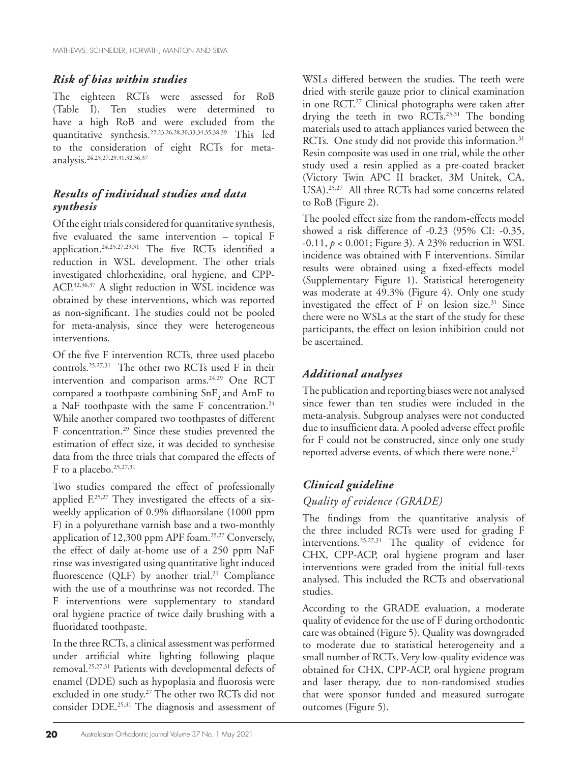## *Risk of bias within studies*

The eighteen RCTs were assessed for RoB (Table I). Ten studies were determined to have a high RoB and were excluded from the quantitative synthesis.22,23,26,28,30,33,34,35,38,39 This led to the consideration of eight RCTs for metaanalysis.24,25,27,29,31,32,36,37

## *Results of individual studies and data synthesis*

Of the eight trials considered for quantitative synthesis, five evaluated the same intervention – topical F application.24,25,27,29,31 The five RCTs identified a reduction in WSL development. The other trials investigated chlorhexidine, oral hygiene, and CPP-ACP.32,36,37 A slight reduction in WSL incidence was obtained by these interventions, which was reported as non-significant. The studies could not be pooled for meta-analysis, since they were heterogeneous interventions.

Of the five F intervention RCTs, three used placebo controls.25,27,31 The other two RCTs used F in their intervention and comparison arms.<sup>24,29</sup> One RCT compared a toothpaste combining SnF<sub>2</sub> and AmF to a NaF toothpaste with the same F concentration.<sup>24</sup> While another compared two toothpastes of different F concentration.29 Since these studies prevented the estimation of effect size, it was decided to synthesise data from the three trials that compared the effects of F to a placebo.<sup>25,27,31</sup>

Two studies compared the effect of professionally applied  $F<sub>25,27</sub>$  They investigated the effects of a sixweekly application of 0.9% difluorsilane (1000 ppm F) in a polyurethane varnish base and a two-monthly application of 12,300 ppm APF foam.25,27 Conversely, the effect of daily at-home use of a 250 ppm NaF rinse was investigated using quantitative light induced fluorescence (QLF) by another trial.<sup>31</sup> Compliance with the use of a mouthrinse was not recorded. The F interventions were supplementary to standard oral hygiene practice of twice daily brushing with a fluoridated toothpaste.

In the three RCTs, a clinical assessment was performed under artificial white lighting following plaque removal.25,27,31 Patients with developmental defects of enamel (DDE) such as hypoplasia and fluorosis were excluded in one study.<sup>27</sup> The other two RCTs did not consider DDE.25,31 The diagnosis and assessment of

WSLs differed between the studies. The teeth were dried with sterile gauze prior to clinical examination in one RCT.27 Clinical photographs were taken after drying the teeth in two RCTs.<sup>25,31</sup> The bonding materials used to attach appliances varied between the RCTs. One study did not provide this information.<sup>31</sup> Resin composite was used in one trial, while the other study used a resin applied as a pre-coated bracket (Victory Twin APC II bracket, 3M Unitek, CA, USA).25,27 All three RCTs had some concerns related to RoB (Figure 2).

The pooled effect size from the random-effects model showed a risk difference of -0.23 (95% CI: -0.35, -0.11, *p* < 0.001; Figure 3). A 23% reduction in WSL incidence was obtained with F interventions. Similar results were obtained using a fixed-effects model (Supplementary Figure 1). Statistical heterogeneity was moderate at 49.3% (Figure 4). Only one study investigated the effect of  $F$  on lesion size.<sup>31</sup> Since there were no WSLs at the start of the study for these participants, the effect on lesion inhibition could not be ascertained.

# *Additional analyses*

The publication and reporting biases were not analysed since fewer than ten studies were included in the meta-analysis. Subgroup analyses were not conducted due to insufficient data. A pooled adverse effect profile for F could not be constructed, since only one study reported adverse events, of which there were none.<sup>27</sup>

## *Clinical guideline*

## *Quality of evidence (GRADE)*

The findings from the quantitative analysis of the three included RCTs were used for grading F interventions.25,27,31 The quality of evidence for CHX, CPP-ACP, oral hygiene program and laser interventions were graded from the initial full-texts analysed. This included the RCTs and observational studies.

According to the GRADE evaluation, a moderate quality of evidence for the use of F during orthodontic care was obtained (Figure 5). Quality was downgraded to moderate due to statistical heterogeneity and a small number of RCTs. Very low-quality evidence was obtained for CHX, CPP-ACP, oral hygiene program and laser therapy, due to non-randomised studies that were sponsor funded and measured surrogate outcomes (Figure 5).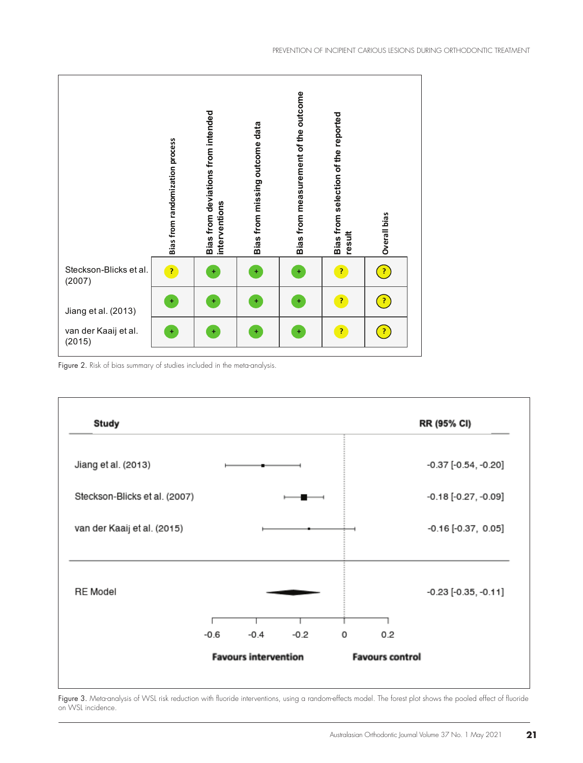

Figure 2. Risk of bias summary of studies included in the meta-analysis.



Figure 3. Meta-analysis of WSL risk reduction with fluoride interventions, using a random-effects model. The forest plot shows the pooled effect of fluoride on WSL incidence.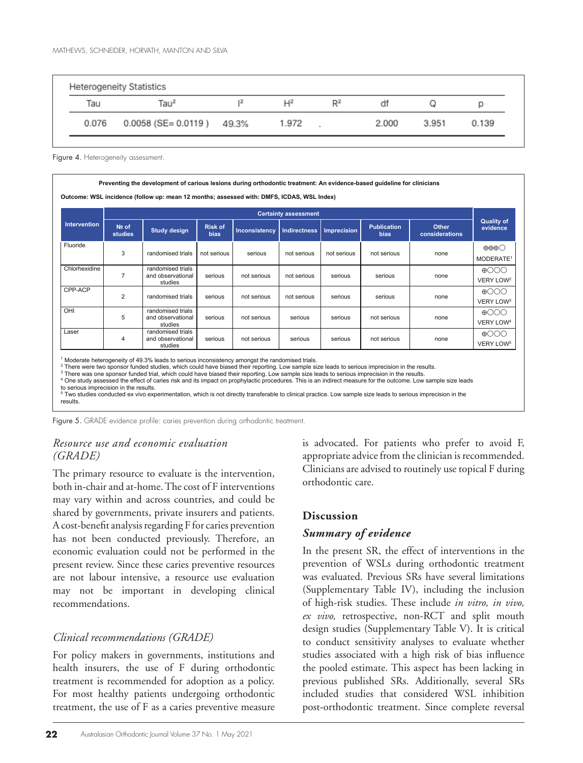|       | Heterogeneity Statistics       |                |       |       |       |       |
|-------|--------------------------------|----------------|-------|-------|-------|-------|
| Tau   | Tau <sup>2</sup>               | $\mathsf{H}^2$ | $R^2$ | df    |       |       |
| 0.076 | $0.0058$ (SE= $0.0119$ ) 49.3% | 1.972          |       | 2.000 | 3.951 | 0.139 |

Figure 4. Heterogeneity assessment

| Preventing the development of carious lesions during orthodontic treatment: An evidence-based guideline for clinicians<br>Outcome: WSL incidence (follow up: mean 12 months; assessed with: DMFS, ICDAS, WSL Index) |                         |                                                   |                               |                      |                             |                    |                                   |                                |                                                          |
|---------------------------------------------------------------------------------------------------------------------------------------------------------------------------------------------------------------------|-------------------------|---------------------------------------------------|-------------------------------|----------------------|-----------------------------|--------------------|-----------------------------------|--------------------------------|----------------------------------------------------------|
|                                                                                                                                                                                                                     |                         |                                                   |                               |                      | <b>Certainty assessment</b> |                    |                                   |                                |                                                          |
| <b>Intervention</b>                                                                                                                                                                                                 | Nº of<br><b>studies</b> | <b>Study design</b>                               | <b>Risk of</b><br><b>bias</b> | <b>Inconsistency</b> | <b>Indirectness</b>         | <b>Imprecision</b> | <b>Publication</b><br><b>bias</b> | <b>Other</b><br>considerations | <b>Quality of</b><br>evidence                            |
| Fluoride                                                                                                                                                                                                            | 3                       | randomised trials                                 | not serious                   | serious              | not serious                 | not serious        | not serious                       | none                           | $\oplus \oplus \oplus \bigcirc$<br>MODERATE <sup>1</sup> |
| Chlorhexidine                                                                                                                                                                                                       | $\overline{7}$          | randomised trials<br>and observational<br>studies | serious                       | not serious          | not serious                 | serious            | serious                           | none                           | $\oplus$ OOO<br>VERY LOW <sup>2</sup>                    |
| CPP-ACP                                                                                                                                                                                                             | 2                       | randomised trials                                 | serious                       | not serious          | not serious                 | serious            | serious                           | none                           | $\oplus$ OOO<br>VERY LOW <sup>3</sup>                    |
| OHI                                                                                                                                                                                                                 | 5                       | randomised trials<br>and observational<br>studies | serious                       | not serious          | serious                     | serious            | not serious                       | none                           | $\oplus$ OOO<br><b>VERY LOW4</b>                         |
| Laser                                                                                                                                                                                                               | 4                       | randomised trials<br>and observational<br>studies | serious                       | not serious          | serious                     | serious            | not serious                       | none                           | $\oplus$ OOO<br>VERY LOW <sup>5</sup>                    |

<sup>1</sup> Moderate heterogeneity of 49.3% leads to serious inconsistency amongst the randomised trials.<br><sup>2</sup> There were two sponsor funded studies, which could have biased their reporting. Low sample size leads to serious impreci

<sup>3</sup> There was one sponsor funded trial, which could have biased their reporting. Low sample size leads to serious imprecision in the results.

<sup>4</sup> One study assessed the effect of caries risk and its impact on prophylactic procedures. This is an indirect measure for the outcome. Low sample size leads to serious imprecision in the results.

<sup>5</sup> Two studies conducted ex vivo experimentation, which is not directly transferable to clinical practice. Low sample size leads to serious imprecision in the results

Figure 5. GRADE evidence profile: caries prevention during orthodontic treatment.

## *Resource use and economic evaluation (GRADE)*

The primary resource to evaluate is the intervention, both in-chair and at-home. The cost of F interventions may vary within and across countries, and could be shared by governments, private insurers and patients. A cost-benefit analysis regarding F for caries prevention has not been conducted previously. Therefore, an economic evaluation could not be performed in the present review. Since these caries preventive resources are not labour intensive, a resource use evaluation may not be important in developing clinical recommendations.

## *Clinical recommendations (GRADE)*

For policy makers in governments, institutions and health insurers, the use of F during orthodontic treatment is recommended for adoption as a policy. For most healthy patients undergoing orthodontic treatment, the use of F as a caries preventive measure

**22** Australasian Orthodontic Journal Volume 37 No. 1 May 2021

is advocated. For patients who prefer to avoid F, appropriate advice from the clinician is recommended. Clinicians are advised to routinely use topical F during orthodontic care.

## **Discussion**

## *Summary of evidence*

In the present SR, the effect of interventions in the prevention of WSLs during orthodontic treatment was evaluated. Previous SRs have several limitations (Supplementary Table IV), including the inclusion of high-risk studies. These include *in vitro, in vivo, ex vivo,* retrospective, non-RCT and split mouth design studies (Supplementary Table V). It is critical to conduct sensitivity analyses to evaluate whether studies associated with a high risk of bias influence the pooled estimate. This aspect has been lacking in previous published SRs. Additionally, several SRs included studies that considered WSL inhibition post-orthodontic treatment. Since complete reversal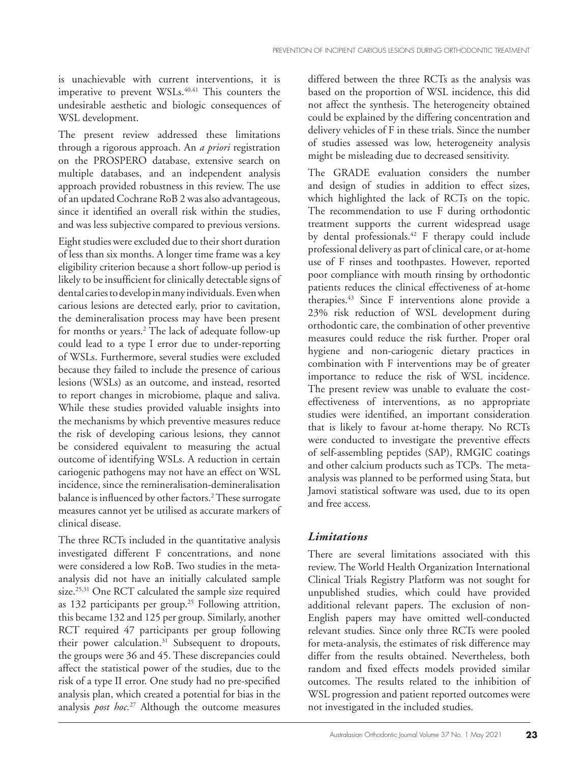is unachievable with current interventions, it is imperative to prevent WSLs.<sup>40,41</sup> This counters the undesirable aesthetic and biologic consequences of WSL development.

The present review addressed these limitations through a rigorous approach. An *a priori* registration on the PROSPERO database, extensive search on multiple databases, and an independent analysis approach provided robustness in this review. The use of an updated Cochrane RoB 2 was also advantageous, since it identified an overall risk within the studies, and was less subjective compared to previous versions.

Eight studies were excluded due to their short duration of less than six months. A longer time frame was a key eligibility criterion because a short follow-up period is likely to be insufficient for clinically detectable signs of dental caries to develop in many individuals. Even when carious lesions are detected early, prior to cavitation, the demineralisation process may have been present for months or years.2 The lack of adequate follow-up could lead to a type I error due to under-reporting of WSLs. Furthermore, several studies were excluded because they failed to include the presence of carious lesions (WSLs) as an outcome, and instead, resorted to report changes in microbiome, plaque and saliva. While these studies provided valuable insights into the mechanisms by which preventive measures reduce the risk of developing carious lesions, they cannot be considered equivalent to measuring the actual outcome of identifying WSLs. A reduction in certain cariogenic pathogens may not have an effect on WSL incidence, since the remineralisation-demineralisation balance is influenced by other factors.2 These surrogate measures cannot yet be utilised as accurate markers of clinical disease.

The three RCTs included in the quantitative analysis investigated different F concentrations, and none were considered a low RoB. Two studies in the metaanalysis did not have an initially calculated sample size.<sup>25,31</sup> One RCT calculated the sample size required as 132 participants per group.<sup>25</sup> Following attrition, this became 132 and 125 per group. Similarly, another RCT required 47 participants per group following their power calculation.<sup>31</sup> Subsequent to dropouts, the groups were 36 and 45. These discrepancies could affect the statistical power of the studies, due to the risk of a type II error. One study had no pre-specified analysis plan, which created a potential for bias in the analysis *post hoc.*27 Although the outcome measures

differed between the three RCTs as the analysis was based on the proportion of WSL incidence, this did not affect the synthesis. The heterogeneity obtained could be explained by the differing concentration and delivery vehicles of F in these trials. Since the number of studies assessed was low, heterogeneity analysis might be misleading due to decreased sensitivity.

The GRADE evaluation considers the number and design of studies in addition to effect sizes, which highlighted the lack of RCTs on the topic. The recommendation to use F during orthodontic treatment supports the current widespread usage by dental professionals.42 F therapy could include professional delivery as part of clinical care, or at-home use of F rinses and toothpastes. However, reported poor compliance with mouth rinsing by orthodontic patients reduces the clinical effectiveness of at-home therapies.43 Since F interventions alone provide a 23% risk reduction of WSL development during orthodontic care, the combination of other preventive measures could reduce the risk further. Proper oral hygiene and non-cariogenic dietary practices in combination with F interventions may be of greater importance to reduce the risk of WSL incidence. The present review was unable to evaluate the costeffectiveness of interventions, as no appropriate studies were identified, an important consideration that is likely to favour at-home therapy. No RCTs were conducted to investigate the preventive effects of self-assembling peptides (SAP), RMGIC coatings and other calcium products such as TCPs. The metaanalysis was planned to be performed using Stata, but Jamovi statistical software was used, due to its open and free access.

## *Limitations*

There are several limitations associated with this review. The World Health Organization International Clinical Trials Registry Platform was not sought for unpublished studies, which could have provided additional relevant papers. The exclusion of non-English papers may have omitted well-conducted relevant studies. Since only three RCTs were pooled for meta-analysis, the estimates of risk difference may differ from the results obtained. Nevertheless, both random and fixed effects models provided similar outcomes. The results related to the inhibition of WSL progression and patient reported outcomes were not investigated in the included studies.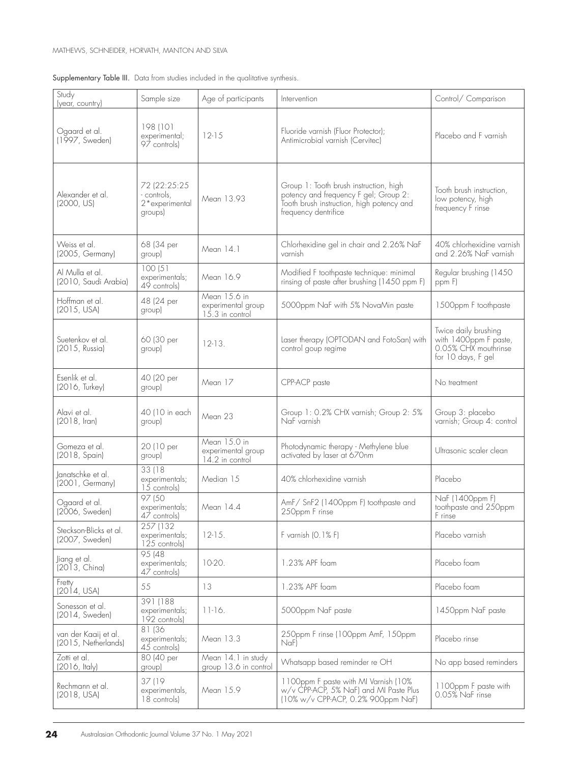| Study<br>(year, country)                    | Sample size                                            | Age of participants                                   | Intervention                                                                                                                                         | Control/ Comparison                                                                         |
|---------------------------------------------|--------------------------------------------------------|-------------------------------------------------------|------------------------------------------------------------------------------------------------------------------------------------------------------|---------------------------------------------------------------------------------------------|
| Ogaard et al.<br>(1997, Sweden)             | 198 (101<br>experimental;<br>$9\overline{7}$ controls) | $12-15$                                               | Fluoride varnish (Fluor Protector);<br>Antimicrobial varnish (Cervitec)                                                                              | Placebo and F varnish                                                                       |
| Alexander et al.<br>(2000, US)              | 72 (22:25:25<br>controls,<br>2*experimental<br>groups) | Mean 13.93                                            | Group 1: Tooth brush instruction, high<br>potency and frequency F gel; Group 2:<br>Tooth brush instruction, high potency and<br>frequency dentrifice | Tooth brush instruction,<br>low potency, high<br>frequency F rinse                          |
| Weiss et al.<br>(2005, Germany)             | 68 (34 per<br>group)                                   | Mean 14.1                                             | Chlorhexidine gel in chair and 2.26% NaF<br>varnish                                                                                                  | 40% chlorhexidine varnish<br>and 2.26% NaF varnish                                          |
| Al Mulla et al.<br>(2010, Saudi Arabia)     | 100(51)<br>experimentals;<br>$49$ controls)            | Mean 16.9                                             | Modified F toothpaste technique: minimal<br>rinsing of paste after brushing (1450 ppm F)                                                             | Regular brushing (1450<br>ppm F                                                             |
| Hoffman et al.<br>(2015, USA)               | 48 (24 per<br>group)                                   | Mean 15.6 in<br>experimental group<br>15.3 in control | 5000ppm NaF with 5% NovaMin paste                                                                                                                    | 1500ppm F toothpaste                                                                        |
| Suetenkov et al.<br>(2015, Russia)          | 60 (30 per<br>group)                                   | $12-13.$                                              | Laser therapy (OPTODAN and FotoSan) with<br>control goup regime                                                                                      | Twice daily brushing<br>with 1400ppm F paste,<br>0.05% CHX mouthrinse<br>for 10 days, F gel |
| Esenlik et al.<br>(2016, Turkey)            | 40 (20 per<br>group)                                   | Mean 17                                               | CPP-ACP paste                                                                                                                                        | No treatment                                                                                |
| Alavi et al.<br>$(2018, \text{Iran})$       | 40 (10 in each<br>group)                               | Mean 23                                               | Group 1: 0.2% CHX varnish; Group 2: 5%<br>NaF varnish                                                                                                | Group 3: placebo<br>varnish; Group 4: control                                               |
| Gomeza et al.<br>(2018, Spain)              | 20 (10 per<br>group)                                   | Mean 15.0 in<br>experimental group<br>14.2 in control | Photodynamic therapy - Methylene blue<br>activated by laser at 670nm                                                                                 | Ultrasonic scaler clean                                                                     |
| Janatschke et al.<br>(2001, Germany)        | 33 (18)<br>experimentals;<br>15 controls)              | Median 15                                             | 40% chlorhexidine varnish                                                                                                                            | Placebo                                                                                     |
| Ogaard et al.<br>(2006, Sweden)             | 97(50)<br>experimentals;<br>$4\overline{7}$ controls)  | Mean 14.4                                             | AmF/ SnF2 (1400ppm F) toothpaste and<br>250ppm F rinse                                                                                               | NaF (1400ppm F)<br>toothpaste and 250ppm<br>F rinse                                         |
| Steckson-Blicks et al.<br>(2007, Sweden)    | 257 (132<br>experimentals;<br>125 controls)            | $12-15.$                                              | F varnish (0.1% F)                                                                                                                                   | Placebo varnish                                                                             |
| Jiang et al.<br>(2013, China)               | 95 (48)<br>experimentals;<br>$47$ controls)            | 10-20.                                                | .23% APF foam                                                                                                                                        | Placebo foam                                                                                |
| Fretty<br>(2014, USA)                       | 55                                                     | 13                                                    | .23% APF foam                                                                                                                                        | Placebo foam                                                                                |
| Sonesson et al.<br>(2014, Sweden)           | 391 (188<br>experimentals;<br>192 controls)            | $11-16.$                                              | 5000ppm NaF paste                                                                                                                                    | 1450ppm NaF paste                                                                           |
| van der Kaaij et al.<br>(2015, Netherlands) | 81 (36<br>experimentals;<br>$45$ controls)             | Mean 13.3                                             | 250ppm F rinse (100ppm AmF, 150ppm<br>Naf                                                                                                            | Placebo rinse                                                                               |
| Zotti et al.<br>(2016, Italy)               | 80 (40 per<br>group)                                   | Mean 14.1 in study<br>group 13.6 in control           | Whatsapp based reminder re OH                                                                                                                        | No app based reminders                                                                      |
| Rechmann et al.<br>(2018, USA)              | 37 (19<br>experimentals,<br>18 controls)               | Mean 15.9                                             | 1100ppm F paste with MI Varnish (10%<br>w/v CPP-ACP, 5% NaF) and MI Paste Plus<br>(10% w/v CPP-ACP, 0.2% 900ppm NaF)                                 | 1100ppm F paste with<br>0.05% NaF rinse                                                     |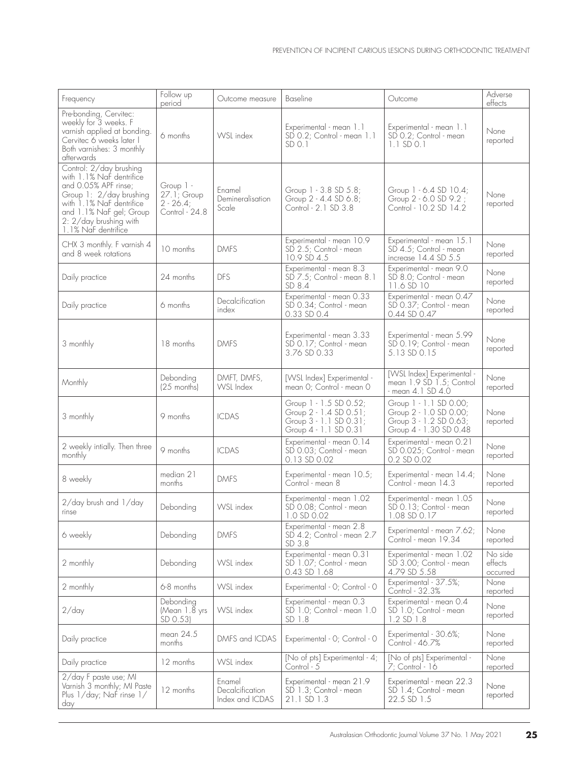| Frequency                                                                                                                                                                                                      | Follow up<br>period                                             | Outcome measure                              | Baseline                                                                                           | Outcome                                                                                              | Adverse<br>effects             |
|----------------------------------------------------------------------------------------------------------------------------------------------------------------------------------------------------------------|-----------------------------------------------------------------|----------------------------------------------|----------------------------------------------------------------------------------------------------|------------------------------------------------------------------------------------------------------|--------------------------------|
| Pre-bonding, Cervitec:<br>weekly for 3 weeks. F<br>varnish applied at bonding.<br>Cervitec 6 weeks later<br>Both varnishes: 3 monthly<br>afterwards                                                            | 6 months                                                        | WSL index                                    | Experimental - mean 1.1<br>SD 0.2; Control - mean 1.1<br>$SD$ $O.1$                                | Experimental - mean 1.1<br>SD 0.2; Control - mean<br>$1.1$ SD 0.1                                    | None<br>reported               |
| Control: 2/day brushing<br>with 1.1% Naf dentrifice<br>and 0.05% APF rinse;<br>Group 1: 2/day brushing<br>with 1.1% NaF dentrifice<br>and 1.1% NaF gel; Group<br>2: 2/day brushing with<br>1.1% NaF dentrifice | Group 1 -<br>$27.1$ ; Group<br>$2 - 26.4$ ;<br>Control - 24.8   | Fnamel<br>Demineralisation<br>Scale          | Group 1 - 3.8 SD 5.8;<br>Group 2 - 4.4 SD 6.8;<br>Control - 2.1 SD 3.8                             | Group 1 - 6.4 SD 10.4;<br>Group 2 - 6.0 SD 9.2;<br>Control - 10.2 SD 14.2                            | None<br>reported               |
| CHX 3 monthly. F varnish 4<br>and 8 week rotations                                                                                                                                                             | 10 months                                                       | <b>DMFS</b>                                  | Experimental - mean 10.9<br>SD 2.5; Control - mean<br>10.9 SD 4.5                                  | Experimental - mean 15.1<br>SD 4.5; Control - mean<br>increase 14.4 SD 5.5                           | None<br>reported               |
| Daily practice                                                                                                                                                                                                 | 24 months                                                       | <b>DFS</b>                                   | Experimental - mean 8.3<br>SD 7.5; Control - mean 8.1<br>SD 8.4                                    | Experimental - mean 9.0<br>SD 8.0; Control - mean<br>11.6 SD 10                                      | None<br>reported               |
| Daily practice                                                                                                                                                                                                 | 6 months                                                        | Decalcification<br>index                     | Experimental - mean 0.33<br>SD 0.34; Control - mean<br>$0.33$ SD $0.4$                             | Experimental - mean 0.47<br>SD 0.37; Control - mean<br>0.44 SD 0.47                                  | None<br>reported               |
| 3 monthly                                                                                                                                                                                                      | 18 months                                                       | <b>DMFS</b>                                  | Experimental - mean 3.33<br>SD 0.17; Control - mean<br>3.76 SD 0.33                                | Experimental - mean 5.99<br>SD 0.19; Control - mean<br>5.13SD 0.15                                   | None<br>reported               |
| Monthly                                                                                                                                                                                                        | Debonding<br>$(25$ months)                                      | DMFT, DMFS,<br>WSL Index                     | [WSL Index] Experimental<br>mean 0; Control - mean 0                                               | [WSL Index] Experimental -<br>mean 1.9 SD 1.5; Control<br>$-$ mean 4.1 SD 4.0                        | <b>None</b><br>reported        |
| 3 monthly                                                                                                                                                                                                      | 9 months                                                        | <b>ICDAS</b>                                 | Group 1 - 1.5 SD 0.52;<br>Group 2 - 1.4 SD 0.51<br>Group 3 - 1.1 SD 0.31;<br>Group 4 - 1.1 SD 0.31 | Group 1 - 1.1 SD 0.00;<br>Group 2 - 1.0 SD 0.00;<br>Group 3 - 1.2 SD 0.63;<br>Group 4 - 1.30 SD 0.48 | None<br>reported               |
| 2 weekly intially. Then three<br>monthly                                                                                                                                                                       | 9 months                                                        | <b>ICDAS</b>                                 | Experimental - mean 0.14<br>SD 0.03; Control - mean<br>0.13 SD 0.02                                | Experimental - mean 0.21<br>SD 0.025; Control - mean<br>0.2 SD 0.02                                  | None<br>reported               |
| 8 weekly                                                                                                                                                                                                       | median 21<br>months                                             | DMFS                                         | Experimental - mean 10.5;<br>Control - mean 8                                                      | Experimental - mean 14.4;<br>Control - mean 14.3                                                     | None<br>reported               |
| 2/day brush and 1/day<br>rinse                                                                                                                                                                                 | Debonding                                                       | WSL index                                    | Experimental - mean 1.02<br>SD 0.08; Control - mean<br>1.0 SD 0.02                                 | Experimental - mean 1.05<br>SD 0.13; Control - mean<br>1.08 SD 0.17                                  | <b>None</b><br>reported        |
| 6 weekly                                                                                                                                                                                                       | Debonding                                                       | DMFS                                         | Experimental - mean 2.8<br>SD 4.2; Control - mean 2.7<br>SD 3.8                                    | Experimental - mean 7.62;<br>Control - mean 19.34                                                    | None<br>reported               |
| 2 monthly                                                                                                                                                                                                      | Debonding                                                       | WSL index                                    | Experimental - mean 0.31<br>SD 1.07; Control - mean<br>0.43 SD 1.68                                | Experimental - mean 1.02<br>SD 3.00; Control - mean<br>4.79 SD 5.58                                  | No side<br>effects<br>occurred |
| 2 monthly                                                                                                                                                                                                      | 6-8 months                                                      | WSL index                                    | Experimental - 0; Control - 0                                                                      | Experimental - 37.5%;<br>Control - 32.3%                                                             | None<br>reported               |
| $2$ /day                                                                                                                                                                                                       | Debonding<br>(Mean $1.\overline{8}$ yrs   WSL index<br>SD 0.53) |                                              | Experimental - mean 0.3<br>SD 1.0; Control - mean 1.0<br>SD 1.8                                    | Experimental - mean 0.4<br>SD 1.0; Control - mean<br>$1.2$ SD $1.8$                                  | None<br>reported               |
| Daily practice                                                                                                                                                                                                 | mean 24.5<br>months                                             |                                              | DMFS and ICDAS   Experimental - 0; Control - 0                                                     | Experimental - 30.6%;<br>Control - 46.7%                                                             | None<br>reported               |
| Daily practice                                                                                                                                                                                                 | 12 months                                                       | WSL index                                    | [No of pts] Experimental - 4;<br>Control - 5                                                       | [No of pts] Experimental -<br>$7$ ; Control - $16$                                                   | None<br>reported               |
| 2/day F paste use; MI<br>Varnish 3 monthly; MI Paste<br>Plus 1/day; Naf rinse 1/<br>day                                                                                                                        | 12 months                                                       | Enamel<br>Decalcification<br>Index and ICDAS | Experimental - mean 21.9<br>SD 1.3; Control - mean<br>21.1 SD 1.3                                  | Experimental - mean 22.3<br>SD 1.4; Control - mean<br>22.5 SD 1.5                                    | None<br>reported               |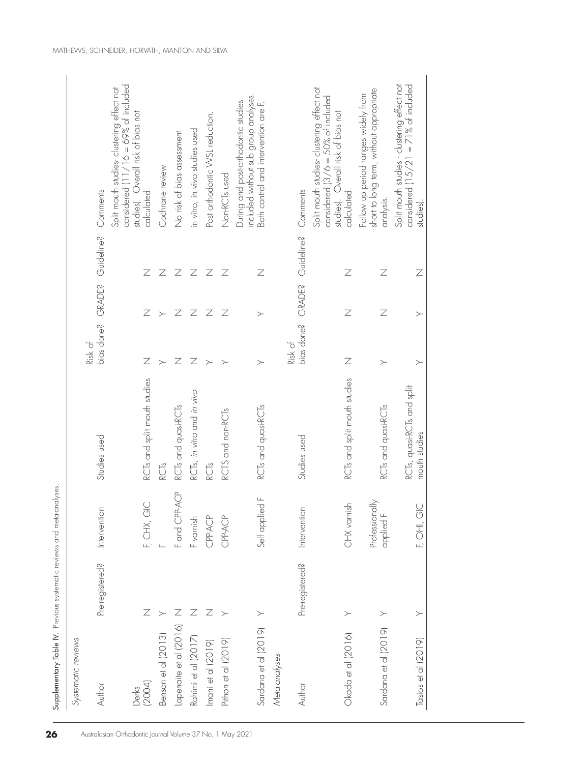| Systematic reviews     |                          |                             |                                             |                |                |                              |                                                                                                                                                              |
|------------------------|--------------------------|-----------------------------|---------------------------------------------|----------------|----------------|------------------------------|--------------------------------------------------------------------------------------------------------------------------------------------------------------|
| Author                 | Pre-registered?          | Intervention                | Studies used                                | Risk of        |                | bias done? GRADE? Guideline? | Comments                                                                                                                                                     |
| (2004)<br>Derks        |                          | F, CHX, GIC                 | RCTs and split mouth studies                | Ζ              | $\overline{Z}$ | $\mathbb Z$                  | considered $\left(11/16 = 69\% \text{ of included}\right)$<br>Split mouth studies-clustering effect not<br>studies). Overall risk of bias not<br>calculated. |
| Benson et al (2013)    |                          | Щ                           | RCTs                                        |                | $\rightarrow$  | Ζ                            | Cochrane review                                                                                                                                              |
| Lapenaite et al (2016) |                          | Fand CPP-ACP                | RCTs and quasi-RCTs                         | $\overline{Z}$ | Ζ              | $\overline{Z}$               | No risk of bias assessment                                                                                                                                   |
| Rahimi et al (2017)    |                          | F varnish                   | RCTs, in vitro and in vivo                  | Ζ              | Ζ              | $\overline{Z}$               | in vitro, in vivo studies used                                                                                                                               |
| Imani et al (2019)     |                          | CPP-ACP                     | RCTs                                        | $\rightarrow$  | Ζ              | $\overline{Z}$               | Post orthodontic WSL reduction.                                                                                                                              |
| Pithon et al (2019)    |                          | CPP-ACP                     | RCTS and non-RCTs                           | $\geq$         | Ζ              | $\overline{Z}$               | Non-RCT <sub>sused</sub>                                                                                                                                     |
| Sardana et al (2019)   | $\geq$                   | Self applied F              | RCTs and quasi-RCTs                         | $\geq$         | $\succ$        | $\overline{Z}$               | included without sub group analyses.<br>During and post-orthodontic studies<br>Both control and intervention are F.                                          |
| Meta-analyses          |                          |                             |                                             |                |                |                              |                                                                                                                                                              |
| Author                 | Pre-registered?          | Intervention                | Studies used                                | Risk of        |                | bias done? GRADE? Guideline? | Comments                                                                                                                                                     |
| Okada et al (2016)     |                          | CHX vamish                  | RCTs and split mouth studies                | $\overline{Z}$ | $\overline{Z}$ | $\overline{Z}$               | Split mouth studies-clustering effect not<br>considered $(3/6 = 50\% \text{ of included})$<br>studies). Overall risk of bias not<br>calculated.              |
| Sardana et al (2019)   | $\overline{\phantom{0}}$ | Professionally<br>applied F | RCTs and quasi-RCTs                         | $\succ$        | Ζ              | Ζ                            | short to long term, without appropriate<br>Follow up period ranges widely from<br>analysis.                                                                  |
| Tasios et al (2019)    | $\geq$                   | F, OH, GIC                  | RCTs, quasi-RCTs and split<br>mouth studies | $\geq$         | $\mathord{>}$  | Z                            | considered $(15/21 = 71\% \text{ of included}$<br>Split mouth studies - clustering effect not<br>studies).                                                   |

Supplementary Table IV. Previous systematic reviews and meta-analyses.

Supplementary Table IV. Previous systematic reviews and meta-analyses.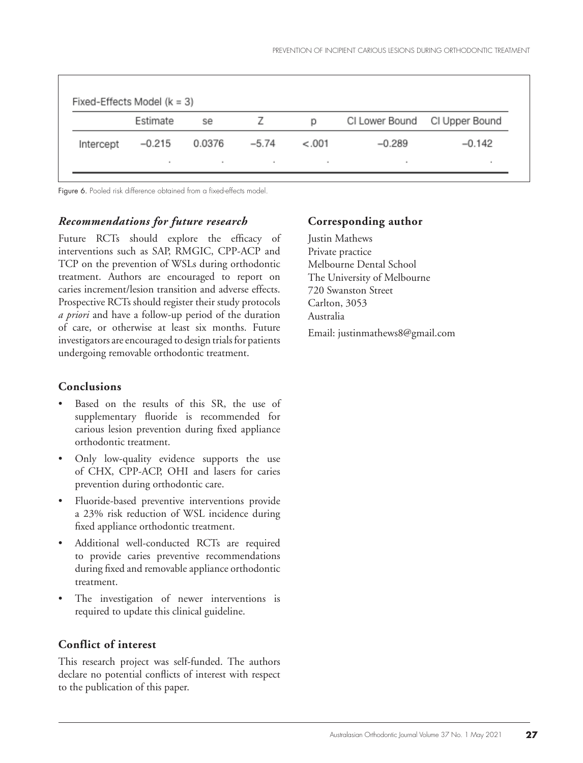|           | Estimate | se     | $\prime$ | D       | CI Lower Bound CI Upper Bound |          |
|-----------|----------|--------|----------|---------|-------------------------------|----------|
| Intercept | -0.215   | 0.0376 | $-5.74$  | $-.001$ | $-0.289$                      | $-0.142$ |

Figure 6. Pooled risk difference obtained from a fixed-effects model.

## *Recommendations for future research*

Future RCTs should explore the efficacy of interventions such as SAP, RMGIC, CPP-ACP and TCP on the prevention of WSLs during orthodontic treatment. Authors are encouraged to report on caries increment/lesion transition and adverse effects. Prospective RCTs should register their study protocols *a priori* and have a follow-up period of the duration of care, or otherwise at least six months. Future investigators are encouraged to design trials for patients undergoing removable orthodontic treatment.

## **Conclusions**

- Based on the results of this SR, the use of supplementary fluoride is recommended for carious lesion prevention during fixed appliance orthodontic treatment.
- Only low-quality evidence supports the use of CHX, CPP-ACP, OHI and lasers for caries prevention during orthodontic care.
- Fluoride-based preventive interventions provide a 23% risk reduction of WSL incidence during fixed appliance orthodontic treatment.
- Additional well-conducted RCTs are required to provide caries preventive recommendations during fixed and removable appliance orthodontic treatment.
- The investigation of newer interventions is required to update this clinical guideline.

## **Conflict of interest**

This research project was self-funded. The authors declare no potential conflicts of interest with respect to the publication of this paper.

## **Corresponding author**

Justin Mathews Private practice Melbourne Dental School The University of Melbourne 720 Swanston Street Carlton, 3053 Australia Email: justinmathews8@gmail.com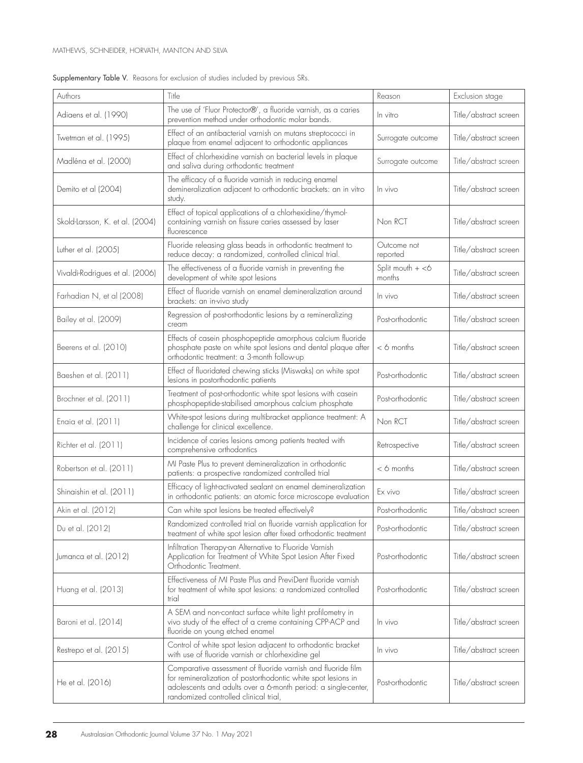| Authors                         | Title                                                                                                                                                                                                                                    | Reason                       | Exclusion stage       |
|---------------------------------|------------------------------------------------------------------------------------------------------------------------------------------------------------------------------------------------------------------------------------------|------------------------------|-----------------------|
| Adiaens et al. (1990)           | The use of 'Fluor Protector®', a fluoride varnish, as a caries<br>prevention method under orthodontic molar bands.                                                                                                                       | In vitro                     | Title/abstract screen |
| Twetman et al. (1995)           | Effect of an antibacterial varnish on mutans streptococci in<br>plaque from enamel adjacent to orthodontic appliances                                                                                                                    | Surrogate outcome            | Title/abstract screen |
| Madléna et al. (2000)           | Effect of chlorhexidine varnish on bacterial levels in plaque<br>and saliva during orthodontic treatment                                                                                                                                 | Surrogate outcome            | Title/abstract screen |
| Demito et al (2004)             | The efficacy of a fluoride varnish in reducing enamel<br>demineralization adjacent to orthodontic brackets: an in vitro<br>study.                                                                                                        | In vivo                      | Title/abstract screen |
| Skold-Larsson, K. et al. (2004) | Effect of topical applications of a chlorhexidine/thymol-<br>containing varnish on fissure caries assessed by laser<br>fluorescence                                                                                                      | Non RCT                      | Title/abstract screen |
| Luther et al. (2005)            | Fluoride releasing glass beads in orthodontic treatment to<br>reduce decay: a randomized, controlled clinical trial.                                                                                                                     | Outcome not<br>reported      | Title/abstract screen |
| Vivaldi-Rodrigues et al. (2006) | The effectiveness of a fluoride varnish in preventing the<br>development of white spot lesions                                                                                                                                           | Split mouth $+$ <6<br>months | Title/abstract screen |
| Farhadian N, et al (2008)       | Effect of fluoride varnish on enamel demineralization around<br>brackets: an in-vivo study                                                                                                                                               | In vivo                      | Title/abstract screen |
| Bailey et al. (2009)            | Regression of post-orthodontic lesions by a remineralizing<br>cream                                                                                                                                                                      | Post-orthodontic             | Title/abstract screen |
| Beerens et al. (2010)           | Effects of casein phosphopeptide amorphous calcium fluoride<br>phosphate paste on white spot lesions and dental plaque after<br>orthodontic treatment: a 3-month follow-up                                                               | $<$ 6 months                 | Title/abstract screen |
| Baeshen et al. (2011)           | Effect of fluoridated chewing sticks (Miswaks) on white spot<br>lesions in postorthodontic patients                                                                                                                                      | Post-orthodontic             | Title/abstract screen |
| Brochner et al. (2011)          | Treatment of post-orthodontic white spot lesions with casein<br>phosphopeptide-stabilised amorphous calcium phosphate                                                                                                                    | Post-orthodontic             | Title/abstract screen |
| Enaia et al. (2011)             | White-spot lesions during multibracket appliance treatment: A<br>challenge for clinical excellence.                                                                                                                                      | Non RCT                      | Title/abstract screen |
| Richter et al. (2011)           | Incidence of caries lesions among patients treated with<br>comprehensive orthodontics                                                                                                                                                    | Retrospective                | Title/abstract screen |
| Robertson et al. (2011)         | MI Paste Plus to prevent demineralization in orthodontic<br>patients: a prospective randomized controlled trial                                                                                                                          | $<$ 6 months                 | Title/abstract screen |
| Shinaishin et al. (2011)        | Efficacy of light-activated sealant on enamel demineralization<br>in orthodontic patients: an atomic force microscope evaluation                                                                                                         | Fx vivo                      | Title/abstract screen |
| Akin et al. (2012)              | Can white spot lesions be treated effectively?                                                                                                                                                                                           | Post-orthodontic             | Title/abstract screen |
| Du et al. (2012)                | Randomized controlled trial on fluoride varnish application for<br>treatment of white spot lesion after fixed orthodontic treatment                                                                                                      | Post-orthodontic             | Title/abstract screen |
| Jumanca et al. (2012)           | Infiltration Therapy-an Alternative to Fluoride Varnish<br>Application for Treatment of White Spot Lesion After Fixed<br>Orthodontic Treatment.                                                                                          | Post-orthodontic             | Title/abstract screen |
| Huang et al. (2013)             | Effectiveness of MI Paste Plus and PreviDent fluoride varnish<br>for treatment of white spot lesions: a randomized controlled<br>trial                                                                                                   | Post-orthodontic             | Title/abstract screen |
| Baroni et al. (2014)            | A SEM and non-contact surface white light profilometry in<br>vivo study of the effect of a creme containing CPP-ACP and<br>fluoride on young etched enamel                                                                               | In vivo                      | Title/abstract screen |
| Restrepo et al. (2015)          | Control of white spot lesion adjacent to orthodontic bracket<br>with use of fluoride varnish or chlorhexidine gel                                                                                                                        | In vivo                      | Title/abstract screen |
| He et al. (2016)                | Comparative assessment of fluoride varnish and fluoride film<br>for remineralization of postorthodontic white spot lesions in<br>adolescents and adults over a 6-month period: a single-center,<br>randomized controlled clinical trial, | Post-orthodontic             | Title/abstract screen |

#### Supplementary Table V. Reasons for exclusion of studies included by previous SRs.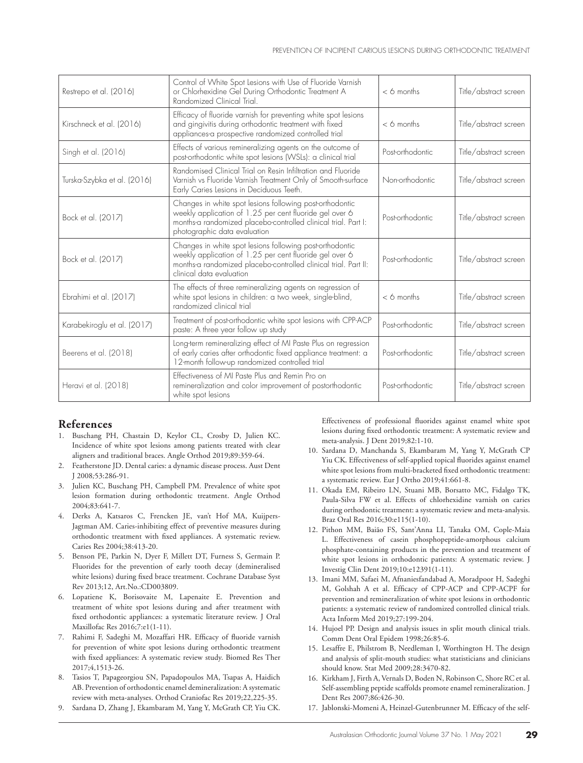| Restrepo et al. (2016)      | Control of White Spot Lesions with Use of Fluoride Varnish<br>or Chlorhexidine Gel During Orthodontic Treatment A<br>Randomized Clinical Trial.                                                                       | $<$ 6 months     | Title/abstract screen |
|-----------------------------|-----------------------------------------------------------------------------------------------------------------------------------------------------------------------------------------------------------------------|------------------|-----------------------|
| Kirschneck et al. (2016)    | Efficacy of fluoride varnish for preventing white spot lesions<br>and gingivitis during orthodontic treatment with fixed<br>appliances-a prospective randomized controlled trial                                      | $<$ 6 months     | Title/abstract screen |
| Singh et al. (2016)         | Effects of various remineralizing agents on the outcome of<br>post-orthodontic white spot lesions (WSLs): a clinical trial                                                                                            | Post-orthodontic | Title/abstract screen |
| Turska-Szybka et al. (2016) | Randomised Clinical Trial on Resin Infiltration and Fluoride<br>Varnish vs Fluoride Varnish Treatment Only of Smooth-surface<br>Early Caries Lesions in Deciduous Teeth.                                              | Non-orthodontic  | Title/abstract screen |
| Bock et al. (2017)          | Changes in white spot lesions following post-orthodontic<br>weekly application of 1.25 per cent fluoride gel over 6<br>months-a randomized placebo-controlled clinical trial. Part I:<br>photographic data evaluation | Post-orthodontic | Title/abstract screen |
| Bock et al. (2017)          | Changes in white spot lesions following post-orthodontic<br>weekly application of 1.25 per cent fluoride gel over 6<br>months a randomized placebo-controlled clinical trial. Part II:<br>clinical data evaluation    | Post-orthodontic | Title/abstract screen |
| Ebrahimi et al. (2017)      | The effects of three remineralizing agents on regression of<br>white spot lesions in children: a two week, single-blind,<br>randomized clinical trial                                                                 | $<$ 6 months     | Title/abstract screen |
| Karabekiroglu et al. (2017) | Treatment of post-orthodontic white spot lesions with CPP-ACP<br>paste: A three year follow up study                                                                                                                  | Post-orthodontic | Title/abstract screen |
| Beerens et al. (2018)       | Long-term remineralizing effect of MI Paste Plus on regression<br>of early caries after orthodontic fixed appliance treatment: a<br>12-month follow-up randomized controlled trial                                    | Post-orthodontic | Title/abstract screen |
| Heravi et al. (2018)        | Effectiveness of MI Paste Plus and Remin Pro on<br>remineralization and color improvement of postorthodontic<br>white spot lesions                                                                                    | Post-orthodontic | Title/abstract screen |

## **References**

- 1. Buschang PH, Chastain D, Keylor CL, Crosby D, Julien KC. Incidence of white spot lesions among patients treated with clear aligners and traditional braces. Angle Orthod 2019;89:359-64.
- 2. Featherstone JD. Dental caries: a dynamic disease process. Aust Dent J 2008*;*53:286-91.
- 3. Julien KC, Buschang PH, Campbell PM. Prevalence of white spot lesion formation during orthodontic treatment. Angle Orthod 2004;83:641-7.
- 4. Derks A, Katsaros C, Frencken JE, van't Hof MA, Kuijpers-Jagtman AM. Caries-inhibiting effect of preventive measures during orthodontic treatment with fixed appliances. A systematic review. Caries Res 2004;38:413-20.
- 5. Benson PE, Parkin N, Dyer F, Millett DT, Furness S, Germain P. Fluorides for the prevention of early tooth decay (demineralised white lesions) during fixed brace treatment. Cochrane Database Syst Rev 2013;12, Art.No.:CD003809.
- 6. Lopatiene K, Borisovaite M, Lapenaite E. Prevention and treatment of white spot lesions during and after treatment with fixed orthodontic appliances: a systematic literature review. J Oral Maxillofac Res 2016;7:e1(1-11).
- 7. Rahimi F, Sadeghi M, Mozaffari HR. Efficacy of fluoride varnish for prevention of white spot lesions during orthodontic treatment with fixed appliances: A systematic review study. Biomed Res Ther 2017;4,1513-26.
- 8. Tasios T, Papageorgiou SN, Papadopoulos MA, Tsapas A, Haidich AB. Prevention of orthodontic enamel demineralization: A systematic review with meta-analyses. Orthod Craniofac Res 2019;22,225-35.
- 9. Sardana D, Zhang J, Ekambaram M, Yang Y, McGrath CP, Yiu CK.

Effectiveness of professional fluorides against enamel white spot lesions during fixed orthodontic treatment: A systematic review and meta-analysis. J Dent 2019;82:1-10.

- 10. Sardana D, Manchanda S, Ekambaram M, Yang Y, McGrath CP Yiu CK. Effectiveness of self-applied topical fluorides against enamel white spot lesions from multi-bracketed fixed orthodontic treatment: a systematic review. Eur J Ortho 2019;41:661-8.
- 11. Okada EM, Ribeiro LN, Stuani MB, Borsatto MC, Fidalgo TK, Paula-Silva FW et al. Effects of chlorhexidine varnish on caries during orthodontic treatment: a systematic review and meta-analysis. Braz Oral Res 2016;30:e115(1-10).
- 12. Pithon MM, Baião FS, Sant'Anna LI, Tanaka OM, Cople-Maia L. Effectiveness of casein phosphopeptide-amorphous calcium phosphate-containing products in the prevention and treatment of white spot lesions in orthodontic patients: A systematic review. J Investig Clin Dent 2019;10:e12391(1-11).
- 13. Imani MM, Safaei M, Afnaniesfandabad A, Moradpoor H, Sadeghi M, Golshah A et al. Efficacy of CPP-ACP and CPP-ACPF for prevention and remineralization of white spot lesions in orthodontic patients: a systematic review of randomized controlled clinical trials. Acta Inform Med 2019;27:199-204.
- 14. Hujoel PP. Design and analysis issues in split mouth clinical trials. Comm Dent Oral Epidem 1998;26:85-6.
- 15. Lesaffre E, Philstrom B, Needleman I, Worthington H. The design and analysis of split-mouth studies: what statisticians and clinicians should know. Stat Med 2009;28:3470-82.
- 16. Kirkham J, Firth A, Vernals D, Boden N, Robinson C, Shore RC et al. Self-assembling peptide scaffolds promote enamel remineralization. J Dent Res 2007;86:426-30.
- 17. Jablonski-Momeni A, Heinzel-Gutenbrunner M. Efficacy of the self-